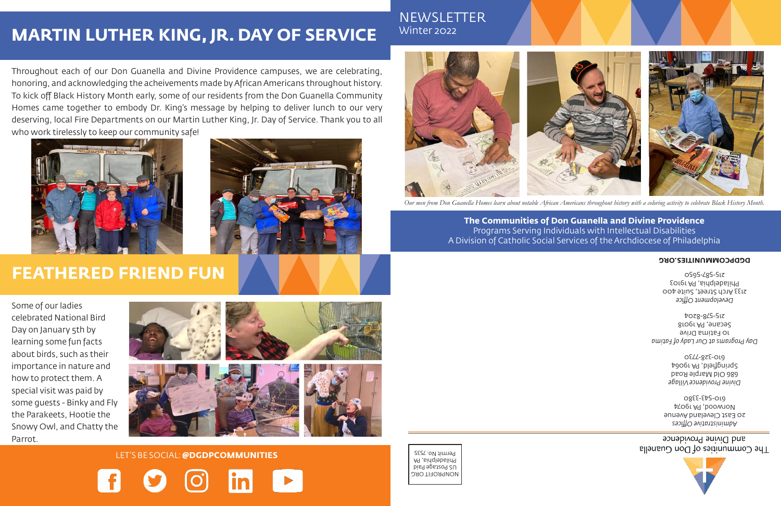NONPROFIT ORG US Postage Paid Philadelphia, PA Permit No. 7535



and Divine Providence The Communities of Don Guanella

*Administrative Offices* 20 East Cleveland Avenue Norwood, PA 19074 610-543-3380

*Divine Providence Village* 686 Old Marple Road Springfield, PA 19064 610-328-7730

*Day Programs at Our Lady of Fatima* 10 Fatima Drive Secane, PA 19018 215-578-8204

*Development Office* 2133 Arch Street, Suite 400 Philadelphia, PA 19103 215-587-5650

#### **DGDPCOMMUNITIES.ORG**

### **MARTIN LUTHER KING, JR. DAY OF SERVICE**

Throughout each of our Don Guanella and Divine Providence campuses, we are celebrating, honoring, and acknowledging the acheivements made by African Americans throughout history. To kick off Black History Month early, some of our residents from the Don Guanella Community Homes came together to embody Dr. King's message by helping to deliver lunch to our very deserving, local Fire Departments on our Martin Luther King, Jr. Day of Service. Thank you to all who work tirelessly to keep our community safe!





### **FEATHERED FRIEND FUN**

Some of our ladies celebrated National Bird Day on January 5th by learning some fun facts about birds, such as their importance in nature and how to protect them. A special visit was paid by some guests - Binky and Fly the Parakeets, Hootie the Snowy Owl, and Chatty the Parrot.



LET'S BE SOCIAL: **@DGDPCOMMUNITIES**

### NEWSLETTER Winter 2022



### **The Communities of Don Guanella and Divine Providence** Programs Serving Individuals with Intellectual Disabilities A Division of Catholic Social Services of the Archdiocese of Philadelphia

*Our men from Don Guanella Homes learn about notable African Americans throughout history with a coloring activity to celebrate Black History Month.*